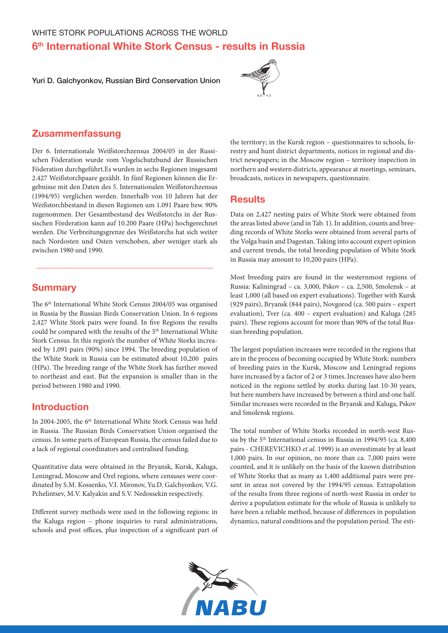# 6<sup>th</sup> International White Stork Census - results in Russia

Yuri D. Galchyonkov, Russian Bird Conservation Union



# Zusammenfassung

Der 6. Internationale Weißstorchzensus 2004/05 in der Russischen Föderation wurde vom Vogelschutzbund der Russischen Föderation durchgeführt.Es wurden in sechs Regionen insgesamt 2.427 Weißstorchpaare gezählt. In fünf Regionen können die Ergebnisse mit den Daten des 5. Internationalen Weißstorchzensus (1994/95) verglichen werden. Innerhalb von 10 Jahren hat der Weißstorchbestand in diesen Regionen um 1.091 Paare bzw. 90% zugenommen. Der Gesamtbestand des Weißstorchs in der Russischen Förderation kann auf 10.200 Paare (HPa) hochgerechnet werden. Die Verbreitungsgrenze des Weißstorchs hat sich weiter nach Nordosten und Osten verschoben, aber weniger stark als zwischen 1980 und 1990.

### **Summary**

The 6<sup>th</sup> International White Stork Census 2004/05 was organised in Russia by the Russian Birds Conservation Union. In 6 regions 2,427 White Stork pairs were found. In five Regions the results could be compared with the results of the 5<sup>th</sup> International White Stork Census. In this region's the number of White Storks increased by 1,091 pairs (90%) since 1994. The breeding population of the White Stork in Russia can be estimated about 10,200 pairs (HPa). The breeding range of the White Stork has further moved to northeast and east. But the expansion is smaller than in the period between 1980 and 1990.

# Introduction

In 2004-2005, the 6<sup>th</sup> International White Stork Census was held in Russia. The Russian Birds Conservation Union organised the census. In some parts of European Russia, the census failed due to a lack of regional coordinators and centralised funding.

Quantitative data were obtained in the Bryansk, Kursk, Kaluga, Leningrad, Moscow and Orel regions, where censuses were coordinated by S.M. Kossenko, V.I. Mironov, Yu.D. Galchyonkov, V.G. Pchelintsev, M.V. Kalyakin and S.V. Nedossekin respectively.

Different survey methods were used in the following regions: in the Kaluga region – phone inquiries to rural administrations, schools and post offices, plus inspection of a significant part of

the territory; in the Kursk region – questionnaires to schools, forestry and hunt district departments, notices in regional and district newspapers; in the Moscow region – territory inspection in northern and western districts, appearance at meetings, seminars, broadcasts, notices in newspapers, questionnaire.

### **Results**

Data on 2,427 nesting pairs of White Stork were obtained from the areas listed above (and in Tab. 1). In addition, counts and breeding records of White Storks were obtained from several parts of the Volga basin and Dagestan. Taking into account expert opinion and current trends, the total breeding population of White Stork in Russia may amount to 10,200 pairs (HPa).

Most breeding pairs are found in the westernmost regions of Russia: Kaliningrad – ca. 3,000, Pskov – ca. 2,500, Smolensk – at least 1,000 (all based on expert evaluations). Together with Kursk (929 pairs), Bryansk (844 pairs), Novgorod (ca. 500 pairs – expert evaluation), Tver (ca. 400 – expert evaluation) and Kaluga (285 pairs). These regions account for more than 90% of the total Russian breeding population.

The largest population increases were recorded in the regions that are in the process of becoming occupied by White Stork: numbers of breeding pairs in the Kursk, Moscow and Leningrad regions have increased by a factor of 2 or 3 times. Increases have also been noticed in the regions settled by storks during last 10-30 years, but here numbers have increased by between a third and one half. Similar increases were recorded in the Bryansk and Kaluga, Pskov and Smolensk regions.

The total number of White Storks recorded in north-west Russia by the 5<sup>th</sup> International census in Russia in 1994/95 (ca. 8,400) pairs - CHEREVICHKO *et al*. 1999) is an overestimate by at least 1,000 pairs. In our opinion, no more than ca. 7,000 pairs were counted, and it is unlikely on the basis of the known distribution of White Storks that as many as 1,400 additional pairs were present in areas not covered by the 1994/95 census. Extrapolation of the results from three regions of north-west Russia in order to derive a population estimate for the whole of Russia is unlikely to have been a reliable method, because of differences in population dynamics, natural conditions and the population period. The esti-